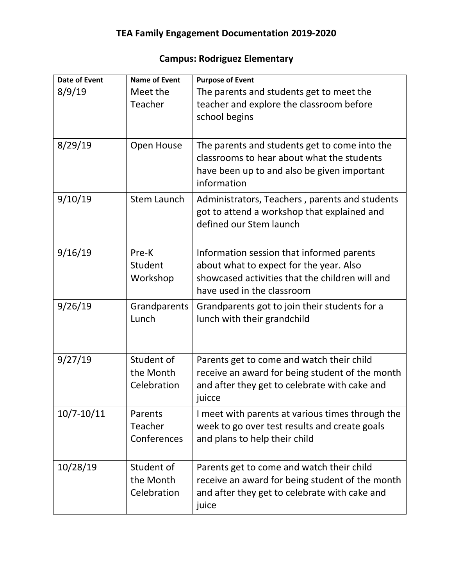| <b>Date of Event</b> | <b>Name of Event</b>                   | <b>Purpose of Event</b>                                                                                                                                               |
|----------------------|----------------------------------------|-----------------------------------------------------------------------------------------------------------------------------------------------------------------------|
| 8/9/19               | Meet the<br>Teacher                    | The parents and students get to meet the<br>teacher and explore the classroom before<br>school begins                                                                 |
| 8/29/19              | Open House                             | The parents and students get to come into the<br>classrooms to hear about what the students<br>have been up to and also be given important<br>information             |
| 9/10/19              | <b>Stem Launch</b>                     | Administrators, Teachers, parents and students<br>got to attend a workshop that explained and<br>defined our Stem launch                                              |
| 9/16/19              | Pre-K<br>Student<br>Workshop           | Information session that informed parents<br>about what to expect for the year. Also<br>showcased activities that the children will and<br>have used in the classroom |
| 9/26/19              | Grandparents<br>Lunch                  | Grandparents got to join their students for a<br>lunch with their grandchild                                                                                          |
| 9/27/19              | Student of<br>the Month<br>Celebration | Parents get to come and watch their child<br>receive an award for being student of the month<br>and after they get to celebrate with cake and<br>juicce               |
| $10/7 - 10/11$       | Parents<br>Teacher<br>Conferences      | I meet with parents at various times through the<br>week to go over test results and create goals<br>and plans to help their child                                    |
| 10/28/19             | Student of<br>the Month<br>Celebration | Parents get to come and watch their child<br>receive an award for being student of the month<br>and after they get to celebrate with cake and<br>juice                |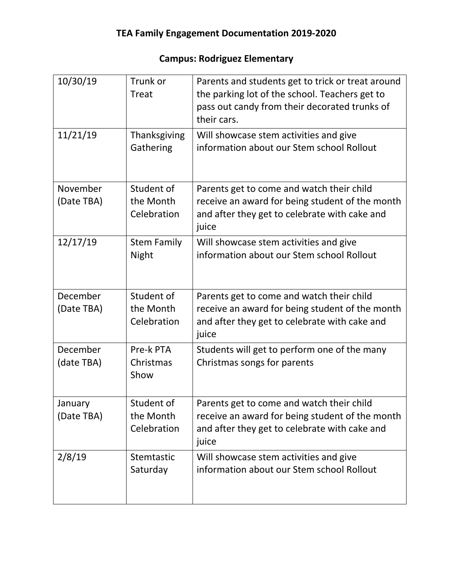| 10/30/19   | Trunk or<br><b>Treat</b>    | Parents and students get to trick or treat around<br>the parking lot of the school. Teachers get to<br>pass out candy from their decorated trunks of<br>their cars. |
|------------|-----------------------------|---------------------------------------------------------------------------------------------------------------------------------------------------------------------|
| 11/21/19   | Thanksgiving<br>Gathering   | Will showcase stem activities and give<br>information about our Stem school Rollout                                                                                 |
| November   | Student of                  | Parents get to come and watch their child                                                                                                                           |
| (Date TBA) | the Month<br>Celebration    | receive an award for being student of the month<br>and after they get to celebrate with cake and<br>juice                                                           |
| 12/17/19   | <b>Stem Family</b><br>Night | Will showcase stem activities and give<br>information about our Stem school Rollout                                                                                 |
| December   | Student of                  | Parents get to come and watch their child                                                                                                                           |
| (Date TBA) | the Month<br>Celebration    | receive an award for being student of the month<br>and after they get to celebrate with cake and<br>juice                                                           |
| December   | Pre-k PTA                   | Students will get to perform one of the many                                                                                                                        |
| (date TBA) | Christmas<br>Show           | Christmas songs for parents                                                                                                                                         |
| January    | Student of                  | Parents get to come and watch their child                                                                                                                           |
| (Date TBA) | the Month<br>Celebration    | receive an award for being student of the month<br>and after they get to celebrate with cake and<br>juice                                                           |
| 2/8/19     | Stemtastic                  | Will showcase stem activities and give                                                                                                                              |
|            | Saturday                    | information about our Stem school Rollout                                                                                                                           |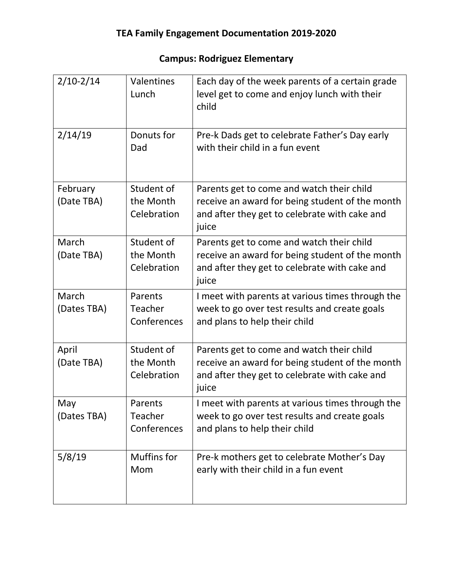| $2/10-2/14$            | <b>Valentines</b><br>Lunch               | Each day of the week parents of a certain grade<br>level get to come and enjoy lunch with their<br>child                                               |
|------------------------|------------------------------------------|--------------------------------------------------------------------------------------------------------------------------------------------------------|
| 2/14/19                | Donuts for<br>Dad                        | Pre-k Dads get to celebrate Father's Day early<br>with their child in a fun event                                                                      |
| February<br>(Date TBA) | Student of<br>the Month<br>Celebration   | Parents get to come and watch their child<br>receive an award for being student of the month<br>and after they get to celebrate with cake and<br>juice |
| March<br>(Date TBA)    | Student of<br>the Month<br>Celebration   | Parents get to come and watch their child<br>receive an award for being student of the month<br>and after they get to celebrate with cake and<br>juice |
| March<br>(Dates TBA)   | Parents<br>Teacher<br>Conferences        | I meet with parents at various times through the<br>week to go over test results and create goals<br>and plans to help their child                     |
| April<br>(Date TBA)    | Student of<br>the Month<br>Celebration   | Parents get to come and watch their child<br>receive an award for being student of the month<br>and after they get to celebrate with cake and<br>juice |
| May<br>(Dates TBA)     | Parents<br><b>Teacher</b><br>Conferences | I meet with parents at various times through the<br>week to go over test results and create goals<br>and plans to help their child                     |
| 5/8/19                 | Muffins for<br>Mom                       | Pre-k mothers get to celebrate Mother's Day<br>early with their child in a fun event                                                                   |